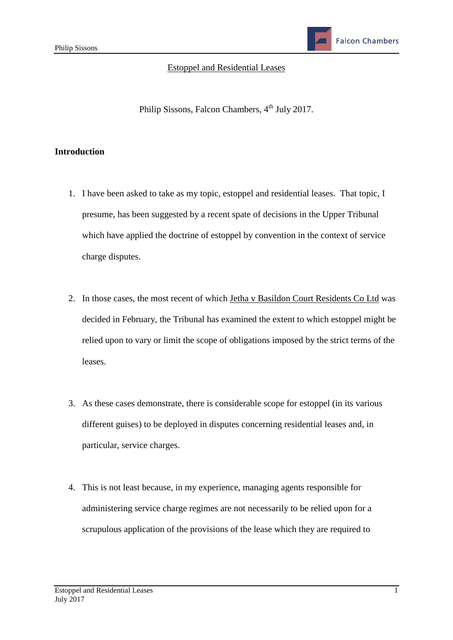**Falcon Chambers** 

#### Estoppel and Residential Leases

Philip Sissons, Falcon Chambers, 4<sup>th</sup> July 2017.

#### **Introduction**

- 1. I have been asked to take as my topic, estoppel and residential leases. That topic, I presume, has been suggested by a recent spate of decisions in the Upper Tribunal which have applied the doctrine of estoppel by convention in the context of service charge disputes.
- 2. In those cases, the most recent of which Jetha v Basildon Court Residents Co Ltd was decided in February, the Tribunal has examined the extent to which estoppel might be relied upon to vary or limit the scope of obligations imposed by the strict terms of the leases.
- 3. As these cases demonstrate, there is considerable scope for estoppel (in its various different guises) to be deployed in disputes concerning residential leases and, in particular, service charges.
- 4. This is not least because, in my experience, managing agents responsible for administering service charge regimes are not necessarily to be relied upon for a scrupulous application of the provisions of the lease which they are required to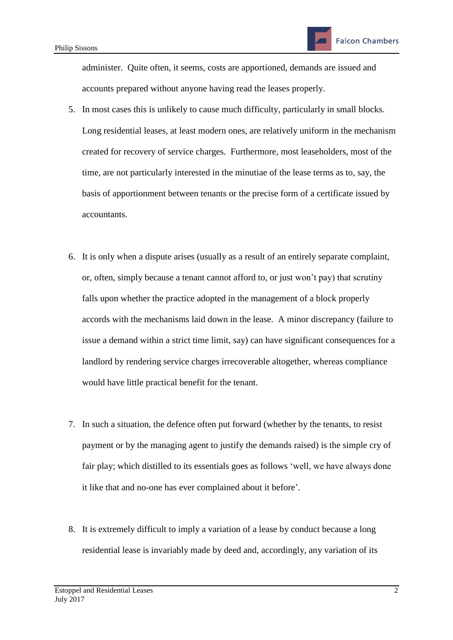administer. Quite often, it seems, costs are apportioned, demands are issued and accounts prepared without anyone having read the leases properly.

- 5. In most cases this is unlikely to cause much difficulty, particularly in small blocks. Long residential leases, at least modern ones, are relatively uniform in the mechanism created for recovery of service charges. Furthermore, most leaseholders, most of the time, are not particularly interested in the minutiae of the lease terms as to, say, the basis of apportionment between tenants or the precise form of a certificate issued by accountants.
- 6. It is only when a dispute arises (usually as a result of an entirely separate complaint, or, often, simply because a tenant cannot afford to, or just won't pay) that scrutiny falls upon whether the practice adopted in the management of a block properly accords with the mechanisms laid down in the lease. A minor discrepancy (failure to issue a demand within a strict time limit, say) can have significant consequences for a landlord by rendering service charges irrecoverable altogether, whereas compliance would have little practical benefit for the tenant.
- 7. In such a situation, the defence often put forward (whether by the tenants, to resist payment or by the managing agent to justify the demands raised) is the simple cry of fair play; which distilled to its essentials goes as follows 'well, we have always done it like that and no-one has ever complained about it before'.
- 8. It is extremely difficult to imply a variation of a lease by conduct because a long residential lease is invariably made by deed and, accordingly, any variation of its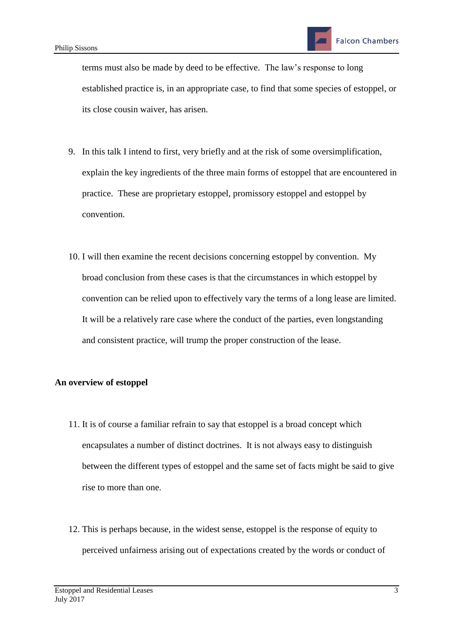terms must also be made by deed to be effective. The law's response to long established practice is, in an appropriate case, to find that some species of estoppel, or its close cousin waiver, has arisen.

- 9. In this talk I intend to first, very briefly and at the risk of some oversimplification, explain the key ingredients of the three main forms of estoppel that are encountered in practice. These are proprietary estoppel, promissory estoppel and estoppel by convention.
- 10. I will then examine the recent decisions concerning estoppel by convention. My broad conclusion from these cases is that the circumstances in which estoppel by convention can be relied upon to effectively vary the terms of a long lease are limited. It will be a relatively rare case where the conduct of the parties, even longstanding and consistent practice, will trump the proper construction of the lease.

# **An overview of estoppel**

- 11. It is of course a familiar refrain to say that estoppel is a broad concept which encapsulates a number of distinct doctrines. It is not always easy to distinguish between the different types of estoppel and the same set of facts might be said to give rise to more than one.
- 12. This is perhaps because, in the widest sense, estoppel is the response of equity to perceived unfairness arising out of expectations created by the words or conduct of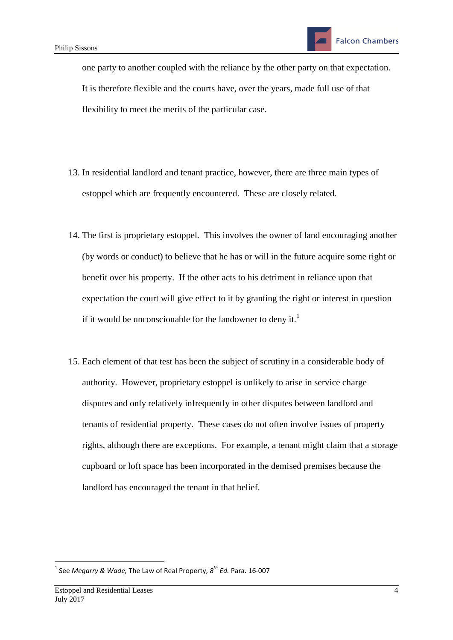one party to another coupled with the reliance by the other party on that expectation. It is therefore flexible and the courts have, over the years, made full use of that flexibility to meet the merits of the particular case.

- 13. In residential landlord and tenant practice, however, there are three main types of estoppel which are frequently encountered. These are closely related.
- 14. The first is proprietary estoppel. This involves the owner of land encouraging another (by words or conduct) to believe that he has or will in the future acquire some right or benefit over his property. If the other acts to his detriment in reliance upon that expectation the court will give effect to it by granting the right or interest in question if it would be unconscionable for the landowner to deny it.<sup>1</sup>
- 15. Each element of that test has been the subject of scrutiny in a considerable body of authority. However, proprietary estoppel is unlikely to arise in service charge disputes and only relatively infrequently in other disputes between landlord and tenants of residential property. These cases do not often involve issues of property rights, although there are exceptions. For example, a tenant might claim that a storage cupboard or loft space has been incorporated in the demised premises because the landlord has encouraged the tenant in that belief.

**.** 

<sup>1</sup> See *Megarry & Wade,* The Law of Real Property, *8 th Ed.* Para. 16-007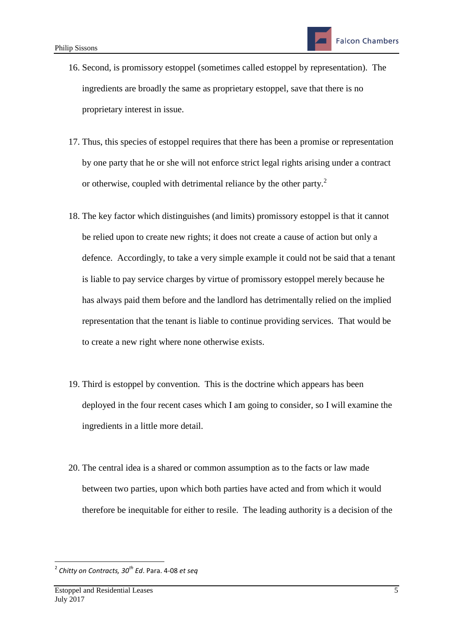- 16. Second, is promissory estoppel (sometimes called estoppel by representation). The ingredients are broadly the same as proprietary estoppel, save that there is no proprietary interest in issue.
- 17. Thus, this species of estoppel requires that there has been a promise or representation by one party that he or she will not enforce strict legal rights arising under a contract or otherwise, coupled with detrimental reliance by the other party. $2$
- 18. The key factor which distinguishes (and limits) promissory estoppel is that it cannot be relied upon to create new rights; it does not create a cause of action but only a defence. Accordingly, to take a very simple example it could not be said that a tenant is liable to pay service charges by virtue of promissory estoppel merely because he has always paid them before and the landlord has detrimentally relied on the implied representation that the tenant is liable to continue providing services. That would be to create a new right where none otherwise exists.
- 19. Third is estoppel by convention. This is the doctrine which appears has been deployed in the four recent cases which I am going to consider, so I will examine the ingredients in a little more detail.
- 20. The central idea is a shared or common assumption as to the facts or law made between two parties, upon which both parties have acted and from which it would therefore be inequitable for either to resile. The leading authority is a decision of the

 2 *Chitty on Contracts, 30th Ed*. Para. 4-08 *et seq*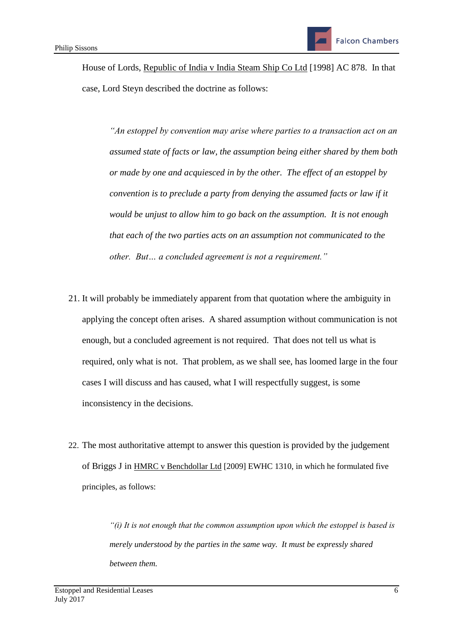House of Lords, Republic of India v India Steam Ship Co Ltd [1998] AC 878. In that case, Lord Steyn described the doctrine as follows:

*"An estoppel by convention may arise where parties to a transaction act on an assumed state of facts or law, the assumption being either shared by them both or made by one and acquiesced in by the other. The effect of an estoppel by convention is to preclude a party from denying the assumed facts or law if it would be unjust to allow him to go back on the assumption. It is not enough that each of the two parties acts on an assumption not communicated to the other. But… a concluded agreement is not a requirement."*

- 21. It will probably be immediately apparent from that quotation where the ambiguity in applying the concept often arises. A shared assumption without communication is not enough, but a concluded agreement is not required. That does not tell us what is required, only what is not. That problem, as we shall see, has loomed large in the four cases I will discuss and has caused, what I will respectfully suggest, is some inconsistency in the decisions.
- 22. The most authoritative attempt to answer this question is provided by the judgement of Briggs J in HMRC v Benchdollar Ltd [2009] EWHC 1310, in which he formulated five principles, as follows:

*"(i) It is not enough that the common assumption upon which the estoppel is based is merely understood by the parties in the same way. It must be expressly shared between them.*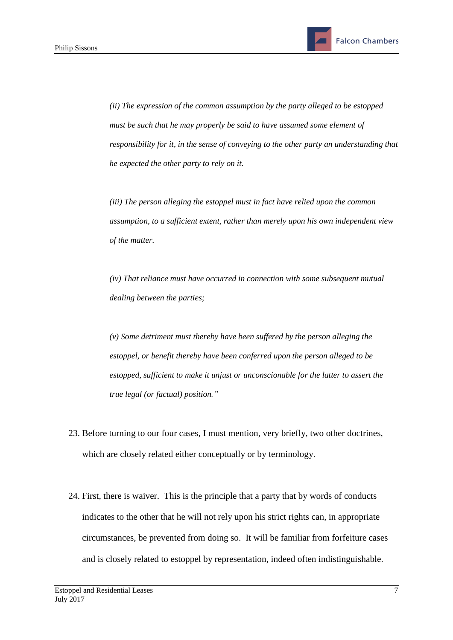*(ii) The expression of the common assumption by the party alleged to be estopped must be such that he may properly be said to have assumed some element of responsibility for it, in the sense of conveying to the other party an understanding that he expected the other party to rely on it.*

*(iii) The person alleging the estoppel must in fact have relied upon the common assumption, to a sufficient extent, rather than merely upon his own independent view of the matter.*

*(iv) That reliance must have occurred in connection with some subsequent mutual dealing between the parties;*

*(v) Some detriment must thereby have been suffered by the person alleging the estoppel, or benefit thereby have been conferred upon the person alleged to be estopped, sufficient to make it unjust or unconscionable for the latter to assert the true legal (or factual) position."*

- 23. Before turning to our four cases, I must mention, very briefly, two other doctrines, which are closely related either conceptually or by terminology.
- 24. First, there is waiver. This is the principle that a party that by words of conducts indicates to the other that he will not rely upon his strict rights can, in appropriate circumstances, be prevented from doing so. It will be familiar from forfeiture cases and is closely related to estoppel by representation, indeed often indistinguishable.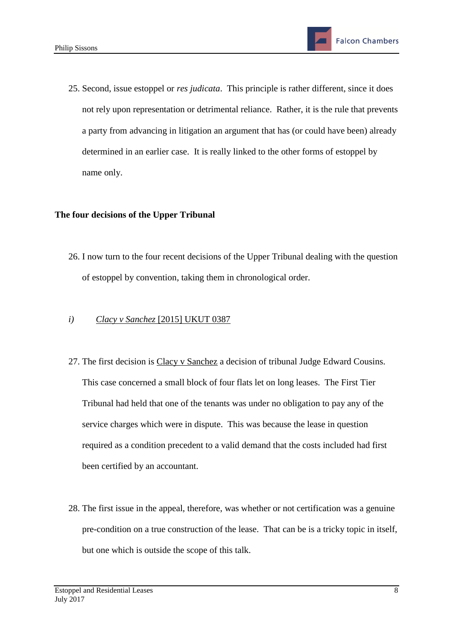25. Second, issue estoppel or *res judicata*. This principle is rather different, since it does not rely upon representation or detrimental reliance. Rather, it is the rule that prevents a party from advancing in litigation an argument that has (or could have been) already determined in an earlier case. It is really linked to the other forms of estoppel by name only.

## **The four decisions of the Upper Tribunal**

26. I now turn to the four recent decisions of the Upper Tribunal dealing with the question of estoppel by convention, taking them in chronological order.

## *i) Clacy v Sanchez* [2015] UKUT 0387

- 27. The first decision is Clacy v Sanchez a decision of tribunal Judge Edward Cousins. This case concerned a small block of four flats let on long leases. The First Tier Tribunal had held that one of the tenants was under no obligation to pay any of the service charges which were in dispute. This was because the lease in question required as a condition precedent to a valid demand that the costs included had first been certified by an accountant.
- 28. The first issue in the appeal, therefore, was whether or not certification was a genuine pre-condition on a true construction of the lease. That can be is a tricky topic in itself, but one which is outside the scope of this talk.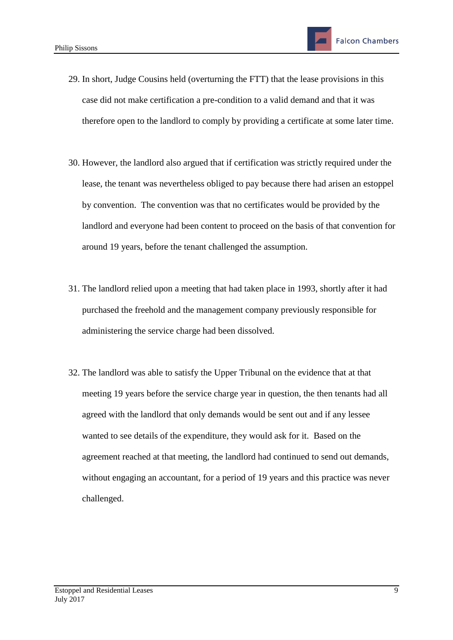- 29. In short, Judge Cousins held (overturning the FTT) that the lease provisions in this case did not make certification a pre-condition to a valid demand and that it was therefore open to the landlord to comply by providing a certificate at some later time.
- 30. However, the landlord also argued that if certification was strictly required under the lease, the tenant was nevertheless obliged to pay because there had arisen an estoppel by convention. The convention was that no certificates would be provided by the landlord and everyone had been content to proceed on the basis of that convention for around 19 years, before the tenant challenged the assumption.
- 31. The landlord relied upon a meeting that had taken place in 1993, shortly after it had purchased the freehold and the management company previously responsible for administering the service charge had been dissolved.
- 32. The landlord was able to satisfy the Upper Tribunal on the evidence that at that meeting 19 years before the service charge year in question, the then tenants had all agreed with the landlord that only demands would be sent out and if any lessee wanted to see details of the expenditure, they would ask for it. Based on the agreement reached at that meeting, the landlord had continued to send out demands, without engaging an accountant, for a period of 19 years and this practice was never challenged.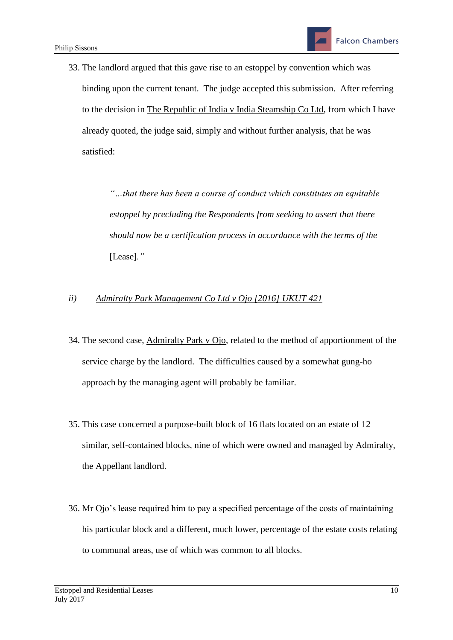33. The landlord argued that this gave rise to an estoppel by convention which was binding upon the current tenant. The judge accepted this submission. After referring to the decision in The Republic of India v India Steamship Co Ltd, from which I have already quoted, the judge said, simply and without further analysis, that he was satisfied:

> *"…that there has been a course of conduct which constitutes an equitable estoppel by precluding the Respondents from seeking to assert that there should now be a certification process in accordance with the terms of the*  [Lease]*."*

## *ii) Admiralty Park Management Co Ltd v Ojo [2016] UKUT 421*

- 34. The second case, Admiralty Park v Ojo, related to the method of apportionment of the service charge by the landlord. The difficulties caused by a somewhat gung-ho approach by the managing agent will probably be familiar.
- 35. This case concerned a purpose-built block of 16 flats located on an estate of 12 similar, self-contained blocks, nine of which were owned and managed by Admiralty, the Appellant landlord.
- 36. Mr Ojo's lease required him to pay a specified percentage of the costs of maintaining his particular block and a different, much lower, percentage of the estate costs relating to communal areas, use of which was common to all blocks.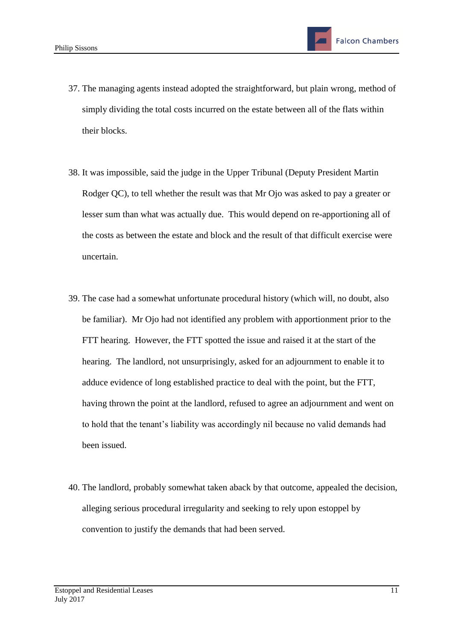- 37. The managing agents instead adopted the straightforward, but plain wrong, method of simply dividing the total costs incurred on the estate between all of the flats within their blocks.
- 38. It was impossible, said the judge in the Upper Tribunal (Deputy President Martin Rodger QC), to tell whether the result was that Mr Ojo was asked to pay a greater or lesser sum than what was actually due. This would depend on re-apportioning all of the costs as between the estate and block and the result of that difficult exercise were uncertain.
- 39. The case had a somewhat unfortunate procedural history (which will, no doubt, also be familiar). Mr Ojo had not identified any problem with apportionment prior to the FTT hearing. However, the FTT spotted the issue and raised it at the start of the hearing. The landlord, not unsurprisingly, asked for an adjournment to enable it to adduce evidence of long established practice to deal with the point, but the FTT, having thrown the point at the landlord, refused to agree an adjournment and went on to hold that the tenant's liability was accordingly nil because no valid demands had been issued.
- 40. The landlord, probably somewhat taken aback by that outcome, appealed the decision, alleging serious procedural irregularity and seeking to rely upon estoppel by convention to justify the demands that had been served.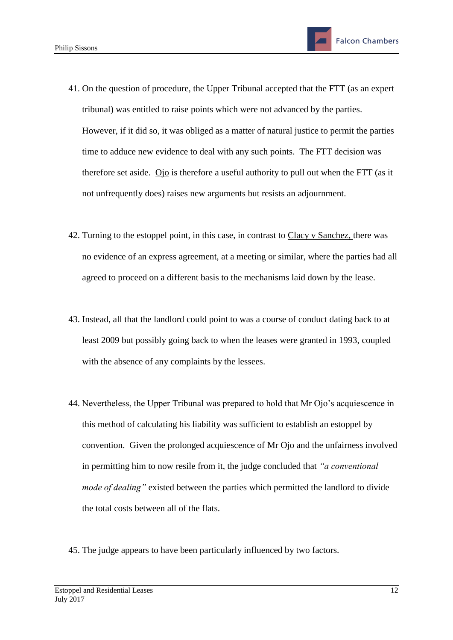- 41. On the question of procedure, the Upper Tribunal accepted that the FTT (as an expert tribunal) was entitled to raise points which were not advanced by the parties. However, if it did so, it was obliged as a matter of natural justice to permit the parties time to adduce new evidence to deal with any such points. The FTT decision was therefore set aside. Ojo is therefore a useful authority to pull out when the FTT (as it not unfrequently does) raises new arguments but resists an adjournment.
- 42. Turning to the estoppel point, in this case, in contrast to Clacy v Sanchez, there was no evidence of an express agreement, at a meeting or similar, where the parties had all agreed to proceed on a different basis to the mechanisms laid down by the lease.
- 43. Instead, all that the landlord could point to was a course of conduct dating back to at least 2009 but possibly going back to when the leases were granted in 1993, coupled with the absence of any complaints by the lessees.
- 44. Nevertheless, the Upper Tribunal was prepared to hold that Mr Ojo's acquiescence in this method of calculating his liability was sufficient to establish an estoppel by convention. Given the prolonged acquiescence of Mr Ojo and the unfairness involved in permitting him to now resile from it, the judge concluded that *"a conventional mode of dealing"* existed between the parties which permitted the landlord to divide the total costs between all of the flats.
- 45. The judge appears to have been particularly influenced by two factors.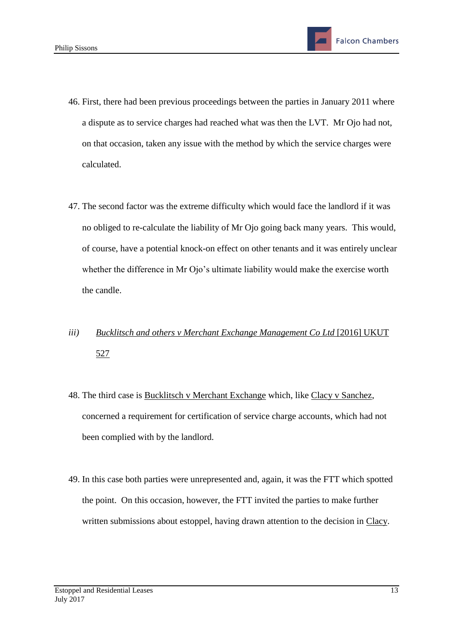- 46. First, there had been previous proceedings between the parties in January 2011 where a dispute as to service charges had reached what was then the LVT. Mr Ojo had not, on that occasion, taken any issue with the method by which the service charges were calculated.
- 47. The second factor was the extreme difficulty which would face the landlord if it was no obliged to re-calculate the liability of Mr Ojo going back many years. This would, of course, have a potential knock-on effect on other tenants and it was entirely unclear whether the difference in Mr Ojo's ultimate liability would make the exercise worth the candle.
- *iii) Bucklitsch and others v Merchant Exchange Management Co Ltd* [2016] UKUT 527
- 48. The third case is Bucklitsch v Merchant Exchange which, like Clacy v Sanchez, concerned a requirement for certification of service charge accounts, which had not been complied with by the landlord.
- 49. In this case both parties were unrepresented and, again, it was the FTT which spotted the point. On this occasion, however, the FTT invited the parties to make further written submissions about estoppel, having drawn attention to the decision in Clacy.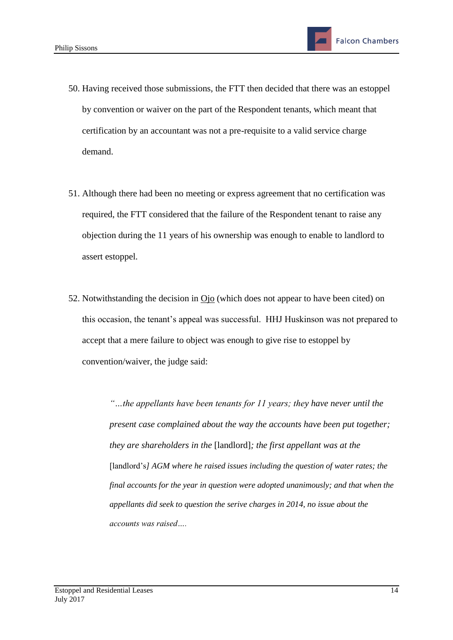- 50. Having received those submissions, the FTT then decided that there was an estoppel by convention or waiver on the part of the Respondent tenants, which meant that certification by an accountant was not a pre-requisite to a valid service charge demand.
- 51. Although there had been no meeting or express agreement that no certification was required, the FTT considered that the failure of the Respondent tenant to raise any objection during the 11 years of his ownership was enough to enable to landlord to assert estoppel.
- 52. Notwithstanding the decision in Ojo (which does not appear to have been cited) on this occasion, the tenant's appeal was successful. HHJ Huskinson was not prepared to accept that a mere failure to object was enough to give rise to estoppel by convention/waiver, the judge said:

*"…the appellants have been tenants for 11 years; they have never until the present case complained about the way the accounts have been put together; they are shareholders in the* [landlord]*; the first appellant was at the*  [landlord's] AGM where he raised issues including the question of water rates; the *final accounts for the year in question were adopted unanimously; and that when the appellants did seek to question the serive charges in 2014, no issue about the accounts was raised….*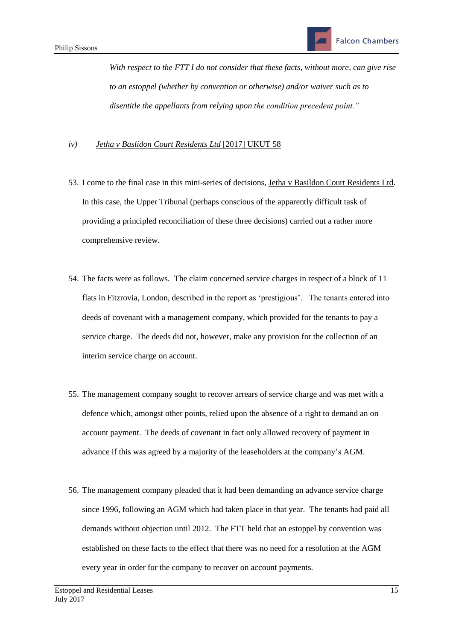*With respect to the FTT I do not consider that these facts, without more, can give rise to an estoppel (whether by convention or otherwise) and/or waiver such as to disentitle the appellants from relying upon the condition precedent point."*

#### *iv) Jetha v Baslidon Court Residents Ltd* [2017] UKUT 58

- 53. I come to the final case in this mini-series of decisions, Jetha v Basildon Court Residents Ltd. In this case, the Upper Tribunal (perhaps conscious of the apparently difficult task of providing a principled reconciliation of these three decisions) carried out a rather more comprehensive review.
- 54. The facts were as follows. The claim concerned service charges in respect of a block of 11 flats in Fitzrovia, London, described in the report as 'prestigious'. The tenants entered into deeds of covenant with a management company, which provided for the tenants to pay a service charge. The deeds did not, however, make any provision for the collection of an interim service charge on account.
- 55. The management company sought to recover arrears of service charge and was met with a defence which, amongst other points, relied upon the absence of a right to demand an on account payment. The deeds of covenant in fact only allowed recovery of payment in advance if this was agreed by a majority of the leaseholders at the company's AGM.
- 56. The management company pleaded that it had been demanding an advance service charge since 1996, following an AGM which had taken place in that year. The tenants had paid all demands without objection until 2012. The FTT held that an estoppel by convention was established on these facts to the effect that there was no need for a resolution at the AGM every year in order for the company to recover on account payments.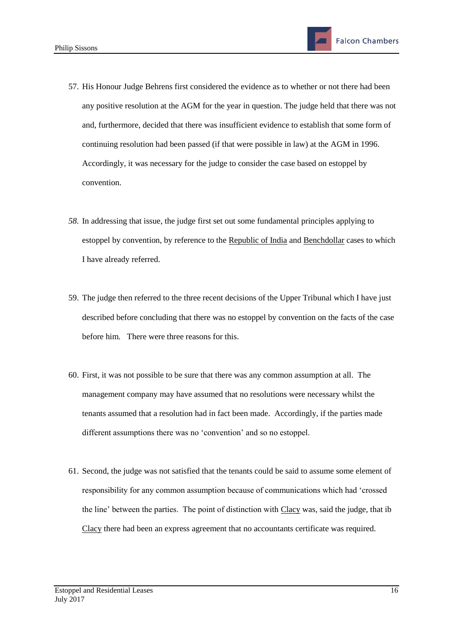- 57. His Honour Judge Behrens first considered the evidence as to whether or not there had been any positive resolution at the AGM for the year in question. The judge held that there was not and, furthermore, decided that there was insufficient evidence to establish that some form of continuing resolution had been passed (if that were possible in law) at the AGM in 1996. Accordingly, it was necessary for the judge to consider the case based on estoppel by convention.
- *58.* In addressing that issue, the judge first set out some fundamental principles applying to estoppel by convention, by reference to the Republic of India and Benchdollar cases to which I have already referred.
- 59. The judge then referred to the three recent decisions of the Upper Tribunal which I have just described before concluding that there was no estoppel by convention on the facts of the case before him. There were three reasons for this.
- 60. First, it was not possible to be sure that there was any common assumption at all. The management company may have assumed that no resolutions were necessary whilst the tenants assumed that a resolution had in fact been made. Accordingly, if the parties made different assumptions there was no 'convention' and so no estoppel.
- 61. Second, the judge was not satisfied that the tenants could be said to assume some element of responsibility for any common assumption because of communications which had 'crossed the line' between the parties. The point of distinction with Clacy was, said the judge, that ib Clacy there had been an express agreement that no accountants certificate was required.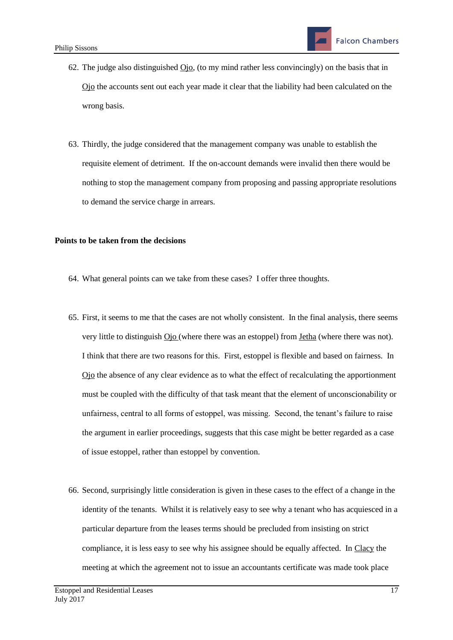- 62. The judge also distinguished  $\overline{O}$ jo, (to my mind rather less convincingly) on the basis that in Ojo the accounts sent out each year made it clear that the liability had been calculated on the wrong basis.
- 63. Thirdly, the judge considered that the management company was unable to establish the requisite element of detriment. If the on-account demands were invalid then there would be nothing to stop the management company from proposing and passing appropriate resolutions to demand the service charge in arrears.

#### **Points to be taken from the decisions**

- 64. What general points can we take from these cases? I offer three thoughts.
- 65. First, it seems to me that the cases are not wholly consistent. In the final analysis, there seems very little to distinguish Ojo (where there was an estoppel) from Jetha (where there was not). I think that there are two reasons for this. First, estoppel is flexible and based on fairness. In Ojo the absence of any clear evidence as to what the effect of recalculating the apportionment must be coupled with the difficulty of that task meant that the element of unconscionability or unfairness, central to all forms of estoppel, was missing. Second, the tenant's failure to raise the argument in earlier proceedings, suggests that this case might be better regarded as a case of issue estoppel, rather than estoppel by convention.
- 66. Second, surprisingly little consideration is given in these cases to the effect of a change in the identity of the tenants. Whilst it is relatively easy to see why a tenant who has acquiesced in a particular departure from the leases terms should be precluded from insisting on strict compliance, it is less easy to see why his assignee should be equally affected. In Clacy the meeting at which the agreement not to issue an accountants certificate was made took place